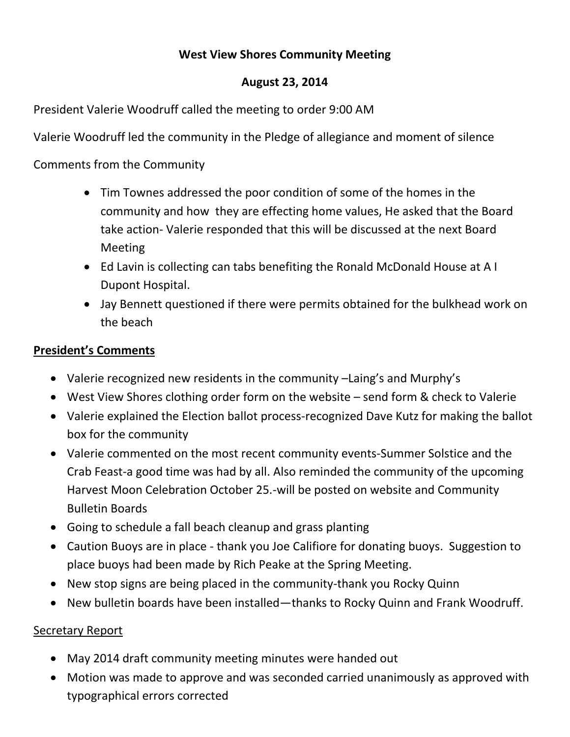# **West View Shores Community Meeting**

# **August 23, 2014**

President Valerie Woodruff called the meeting to order 9:00 AM

Valerie Woodruff led the community in the Pledge of allegiance and moment of silence

Comments from the Community

- Tim Townes addressed the poor condition of some of the homes in the community and how they are effecting home values, He asked that the Board take action- Valerie responded that this will be discussed at the next Board Meeting
- Ed Lavin is collecting can tabs benefiting the Ronald McDonald House at A I Dupont Hospital.
- Jay Bennett questioned if there were permits obtained for the bulkhead work on the beach

### **President's Comments**

- Valerie recognized new residents in the community –Laing's and Murphy's
- West View Shores clothing order form on the website send form & check to Valerie
- Valerie explained the Election ballot process-recognized Dave Kutz for making the ballot box for the community
- Valerie commented on the most recent community events-Summer Solstice and the Crab Feast-a good time was had by all. Also reminded the community of the upcoming Harvest Moon Celebration October 25.-will be posted on website and Community Bulletin Boards
- Going to schedule a fall beach cleanup and grass planting
- Caution Buoys are in place thank you Joe Califiore for donating buoys. Suggestion to place buoys had been made by Rich Peake at the Spring Meeting.
- New stop signs are being placed in the community-thank you Rocky Quinn
- New bulletin boards have been installed—thanks to Rocky Quinn and Frank Woodruff.

#### Secretary Report

- May 2014 draft community meeting minutes were handed out
- Motion was made to approve and was seconded carried unanimously as approved with typographical errors corrected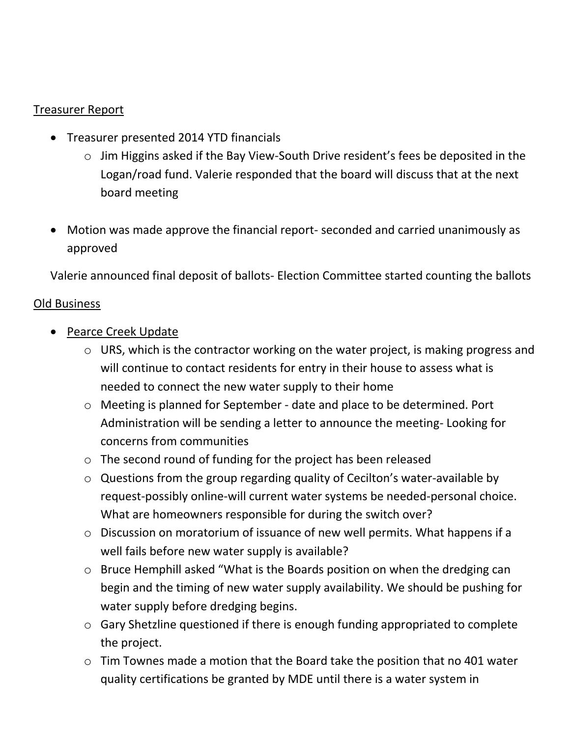## Treasurer Report

- Treasurer presented 2014 YTD financials
	- o Jim Higgins asked if the Bay View-South Drive resident's fees be deposited in the Logan/road fund. Valerie responded that the board will discuss that at the next board meeting
- Motion was made approve the financial report- seconded and carried unanimously as approved

Valerie announced final deposit of ballots- Election Committee started counting the ballots

### Old Business

- Pearce Creek Update
	- o URS, which is the contractor working on the water project, is making progress and will continue to contact residents for entry in their house to assess what is needed to connect the new water supply to their home
	- o Meeting is planned for September date and place to be determined. Port Administration will be sending a letter to announce the meeting- Looking for concerns from communities
	- o The second round of funding for the project has been released
	- o Questions from the group regarding quality of Cecilton's water-available by request-possibly online-will current water systems be needed-personal choice. What are homeowners responsible for during the switch over?
	- o Discussion on moratorium of issuance of new well permits. What happens if a well fails before new water supply is available?
	- o Bruce Hemphill asked "What is the Boards position on when the dredging can begin and the timing of new water supply availability. We should be pushing for water supply before dredging begins.
	- o Gary Shetzline questioned if there is enough funding appropriated to complete the project.
	- o Tim Townes made a motion that the Board take the position that no 401 water quality certifications be granted by MDE until there is a water system in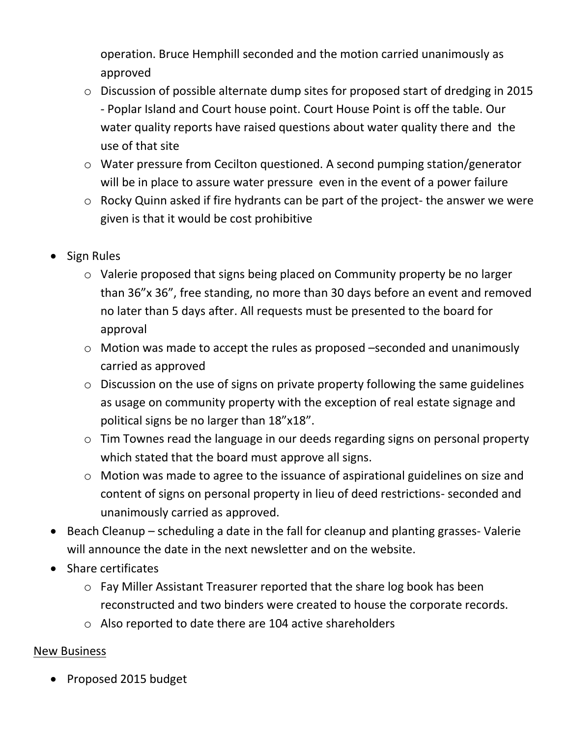operation. Bruce Hemphill seconded and the motion carried unanimously as approved

- o Discussion of possible alternate dump sites for proposed start of dredging in 2015 - Poplar Island and Court house point. Court House Point is off the table. Our water quality reports have raised questions about water quality there and the use of that site
- o Water pressure from Cecilton questioned. A second pumping station/generator will be in place to assure water pressure even in the event of a power failure
- o Rocky Quinn asked if fire hydrants can be part of the project- the answer we were given is that it would be cost prohibitive
- Sign Rules
	- o Valerie proposed that signs being placed on Community property be no larger than 36"x 36", free standing, no more than 30 days before an event and removed no later than 5 days after. All requests must be presented to the board for approval
	- o Motion was made to accept the rules as proposed –seconded and unanimously carried as approved
	- o Discussion on the use of signs on private property following the same guidelines as usage on community property with the exception of real estate signage and political signs be no larger than 18"x18".
	- o Tim Townes read the language in our deeds regarding signs on personal property which stated that the board must approve all signs.
	- o Motion was made to agree to the issuance of aspirational guidelines on size and content of signs on personal property in lieu of deed restrictions- seconded and unanimously carried as approved.
- Beach Cleanup scheduling a date in the fall for cleanup and planting grasses- Valerie will announce the date in the next newsletter and on the website.
- $\bullet$  Share certificates
	- o Fay Miller Assistant Treasurer reported that the share log book has been reconstructed and two binders were created to house the corporate records.
	- o Also reported to date there are 104 active shareholders

# New Business

• Proposed 2015 budget